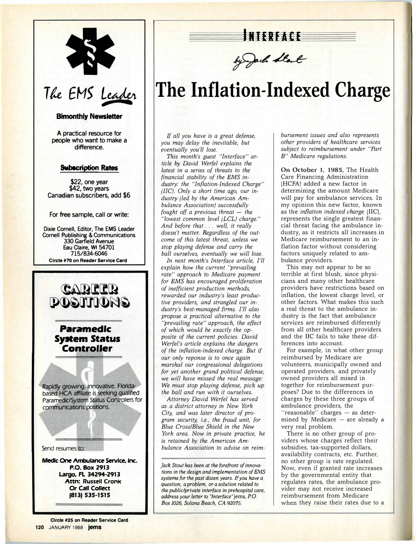

### **Bimonthly Newsletter**

**A practical resource for people who want to make a** difference

#### **Subscription Rates**

**\$22, one year \$42, two years Canadian subscribers, add \$6** 

For free sample, call or write:

**Dixie Cornell, Editor, The EMS Leader Cornell Publishing & Communications · 330 Garfield Avenue Eau Claire, WI 54701 715/834-6046 Circle #70 on Reader Service Card** 



**INTERFACE** 

by Jack Start

### **The Inflation-Indexed Charge**

*If all you have is a great defense, you may delay the inevitable, but eventually you'll lose.* 

*This month's guest "Interface" article. by David Werfel explains the latest in a series of threats to the financial stability of the EMS in*dustry: the "Inflation-Indexed Charge" *(IIC}. Only a short time ago, our industry (led by the American Ambulance Association} successfully fought off a previous threat* – *the "lowest common level (LCLJ charge." And before that* ... *well, it really*  doesn't matter. Regardless of the out*come of this latest threat, unless we stop playing defense and carry the ball ourselves, eventually we* will *lose.* 

*In next month's Interface article, I'll explain how the current "prevailing rate" approach to Medicare payment for EMS has encouraged proliferation of inefficient production methods, rewarded our industry's least productive providers, and strangled our industry's best-managed firms. I'll also propose a practical alternative to the "prevailing rate" approach, the effect of which would be exactly the opposite of the current policies. Pavid Werfel's article explains the dangers*  of the inflation-indexed charge. But if *our only reponse is to once again marshal our congressional delegations for yet another grand political defense, we* will *have missed the real message: We must stop playing defense, pick up the ball and run with it ourselves.* 

*Attorney David Werfel has served as a district attorney in New York City, and was later director of program security, i.e. , the fraud unit, for Blue Cross/Blue Shield in the New York area. Now in private practice, he is retained by the American Ambulance Association to advise on reim-*

*Jack Stout has been at the forefront of innovations in the design and implementation of EMS*  systems for the past dozen years. If you have a *question, a problem, or a solution related to the public/private interface in prehospital care, address your letter to "Interface"* jems, *P.* 0. *Box 1026, Solana Beach, CA 92075.* 

*bursement issues and also represents other providers of healthcare services subject to reimbursement under "Part B" Medicare regulations.* 

**On October 1, 1985,** The Health Care Financing Administration (HCFA) added a new factor in determining the amount Medicare will pay for ambulance services. In my opinion this new factor, known as the *inflation indexed charge* (IIC), represents the single greatest financial threat facing the ambulance industry, as it restricts all increases in Medicare reimbursement to an inflation factor without considering factors uniquely related to ambulance providers.

This may not appear to be so terrible at first blush, since physicians and many other healthcare providers have restrictions based on inflation, the lowest charge level, or other factors. What makes this such a real threat to the ambulance industry is the fact that ambulance services are reimbursed ditferently from all other healthcare providers and the IIC fails to take these differences into account.

For example, in what other group reimbursed by Medicare are volunteers, municipally owned and operated providers, and privately owned providers all mixed in together for reimbursement purposes? Due to the differences in charges by these three groups of ambulance providers, the "reasonable" charges - as determined by Medicare  $-$  are already a very real problem.

There is no other group of providers whose charges reflect their subsidies, tax-supported dollars, availability contracts, etc. Further, no other group is rate regulated. Now, even if granted rate increases by the governmental entity that regulates rates, the ambulance provider may not receive increased reimbursement from Medicare when they raise their rates due to a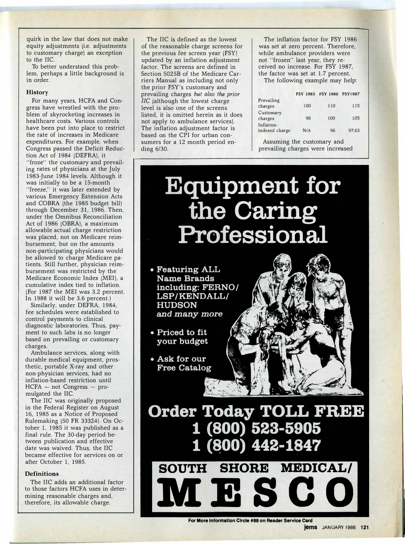quirk in the law that does not make equity adjustments (i.e. adjustments to customary charge) an exception to the IIC.

To better understand this problem, perhaps a little background is in order.

#### **History**

For many years, HCFA and Congress have wrestled with the problem of skyrocketing increases in healthcare costs. Various controls have been put into place to restrict the rate of increases in Medicare expenditures. For example, when Congress passed the Deficit Reduction Act of 1984 (DEFRA), it "froze" the customary and prevailing rates of physicians at the July 1983-June 1984 levels. Although it was initially to be a 15-month "freeze," it was later extended by various Emergency Extension Acts and COBRA (the 1985 budget bill) through December 31, 1986. Then, under the Omnibus Reconciliation Act of 1986 (OBRA), a maximum allowable actual charge restriction was placed, not on Medicare reimbursement, but on the amounts non-participating physicians would be allowed to charge Medicare patients. Still further, physician reimbursement was restricted by the Medicare Economic Index (MEI), a cumulative index tied to inflation. (For 1987 the MEI was 3.2 percent. In 1988 it will be 3.6 percent.)

Similarly, under DEFRA, 1984, fee schedules were established to control payments to clinical diagnostic laboratories. Thus, payment to such labs is no longer based on prevailing or customary charges.

Ambulance services, along with durable medical equipment, prosthetic, portable X-ray and other non-physician services, had no inflation-based restriction until  $HCFA - not Congress - pro$ mulgated the IIC.

The IIC was originally proposed in the Federal Register on August 16, 1985 as a Notice of Proposed Rulemaking (50 FR 33324). On October 1, 1985 it was published as a final rule. The 30-day period between publication and effective date was waived. Thus, the IIC became effective for services on or after October 1, 1985.

#### **Definitions**

The IIC adds an additional factor to those factors HCFA uses in determining reasonable charges and, therefore, its allowable charge.

The IIC is defined as the lowest of the reasonable charge screens for the previous fee screen year (FSY) updated by an inflation adjustment factor. The screens are defined in Section 5025B of the Medicare Carriers Manual as including not only the prior FSY's customary and prevailing charges *but also the prior*  IIC (although the lowest charge level is also one of the screens listed, it is omitted herein as it does not apply to ambulance services). The inflation adjustment factor is based on the CPI for urban consumers for a 12 month period ending 6/30.

The inflation factor for FSY 1986 was set at zero percent. Therefore, while ambulance providers were not "frozen" last year, they received no increase. For FSY 1987, the factor was set at 1.7 percent.

The following example may help:

|                              | <b>FSY 1985</b> | FSY 1986 FSY1987 |       |
|------------------------------|-----------------|------------------|-------|
| Prevailing<br>charges        | 100             | 110              | 115   |
| Customary<br>charges         | 96              | 100              | 105   |
| Inflation-<br>indexed charge | N/A             | 96               | 97.63 |

Assuming the customary and prevailing charges were increased

## **Equipment for** the Cari Profession

• Featuring ALL **Name Brands** including: FERNO/ LSP/KENDALL/ **HUDSON** and many more

• Priced to fit your budget

• Ask for our **Free Catalog** 



**Order Today TOLL FREE** (800) 523-5905 **SOUTH MEDICAL/ SHORE** 

**lVIESCO**